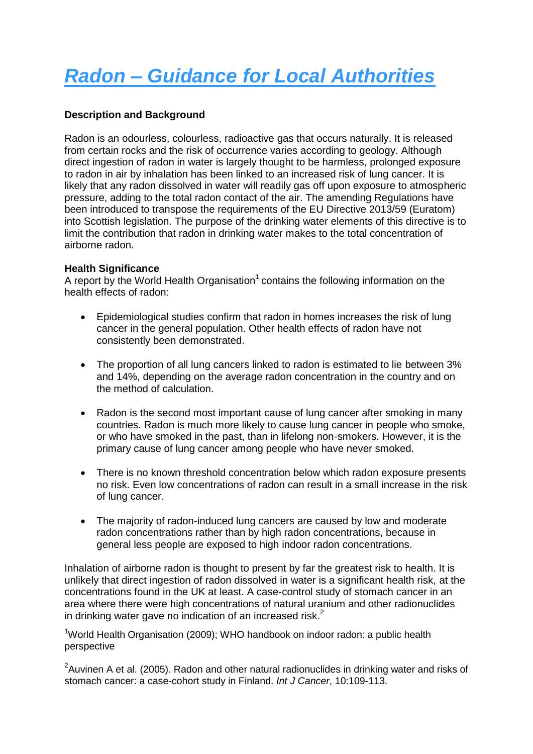# *Radon – Guidance for Local Authorities*

## **Description and Background**

Radon is an odourless, colourless, radioactive gas that occurs naturally. It is released from certain rocks and the risk of occurrence varies according to geology. Although direct ingestion of radon in water is largely thought to be harmless, prolonged exposure to radon in air by inhalation has been linked to an increased risk of lung cancer. It is likely that any radon dissolved in water will readily gas off upon exposure to atmospheric pressure, adding to the total radon contact of the air. The amending Regulations have been introduced to transpose the requirements of the EU Directive 2013/59 (Euratom) into Scottish legislation. The purpose of the drinking water elements of this directive is to limit the contribution that radon in drinking water makes to the total concentration of airborne radon.

#### **Health Significance**

A report by the World Health Organisation $1$  contains the following information on the health effects of radon:

- Epidemiological studies confirm that radon in homes increases the risk of lung cancer in the general population. Other health effects of radon have not consistently been demonstrated.
- The proportion of all lung cancers linked to radon is estimated to lie between 3% and 14%, depending on the average radon concentration in the country and on the method of calculation.
- Radon is the second most important cause of lung cancer after smoking in many countries. Radon is much more likely to cause lung cancer in people who smoke, or who have smoked in the past, than in lifelong non-smokers. However, it is the primary cause of lung cancer among people who have never smoked.
- There is no known threshold concentration below which radon exposure presents no risk. Even low concentrations of radon can result in a small increase in the risk of lung cancer.
- The majority of radon-induced lung cancers are caused by low and moderate radon concentrations rather than by high radon concentrations, because in general less people are exposed to high indoor radon concentrations.

Inhalation of airborne radon is thought to present by far the greatest risk to health. It is unlikely that direct ingestion of radon dissolved in water is a significant health risk, at the concentrations found in the UK at least. A case-control study of stomach cancer in an area where there were high concentrations of natural uranium and other radionuclides in drinking water gave no indication of an increased risk. $^2$ 

<sup>1</sup>World Health Organisation (2009); WHO handbook on indoor radon: a public health perspective

 $2$ Auvinen A et al. (2005). Radon and other natural radionuclides in drinking water and risks of stomach cancer: a case-cohort study in Finland. *Int J Cancer*, 10:109-113.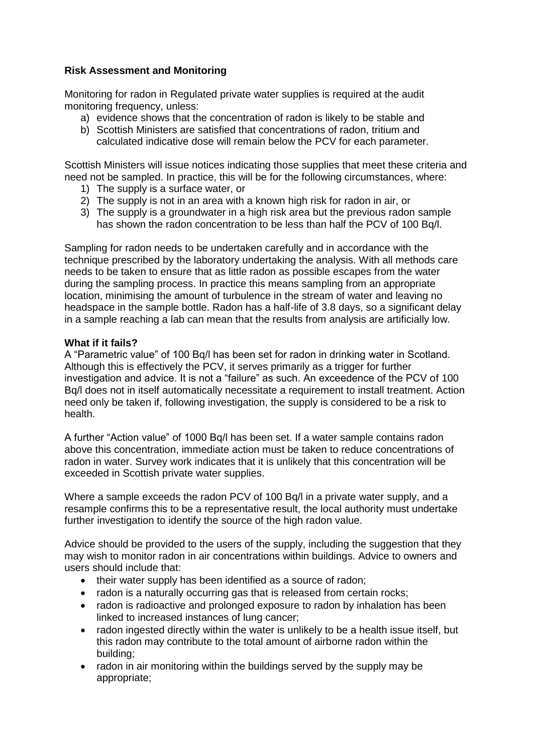## **Risk Assessment and Monitoring**

Monitoring for radon in Regulated private water supplies is required at the audit monitoring frequency, unless:

- a) evidence shows that the concentration of radon is likely to be stable and
- b) Scottish Ministers are satisfied that concentrations of radon, tritium and calculated indicative dose will remain below the PCV for each parameter.

Scottish Ministers will issue notices indicating those supplies that meet these criteria and need not be sampled. In practice, this will be for the following circumstances, where:

- 1) The supply is a surface water, or
- 2) The supply is not in an area with a known high risk for radon in air, or
- 3) The supply is a groundwater in a high risk area but the previous radon sample has shown the radon concentration to be less than half the PCV of 100 Bq/l.

Sampling for radon needs to be undertaken carefully and in accordance with the technique prescribed by the laboratory undertaking the analysis. With all methods care needs to be taken to ensure that as little radon as possible escapes from the water during the sampling process. In practice this means sampling from an appropriate location, minimising the amount of turbulence in the stream of water and leaving no headspace in the sample bottle. Radon has a half-life of 3.8 days, so a significant delay in a sample reaching a lab can mean that the results from analysis are artificially low.

#### **What if it fails?**

A "Parametric value" of 100 Bq/l has been set for radon in drinking water in Scotland. Although this is effectively the PCV, it serves primarily as a trigger for further investigation and advice. It is not a "failure" as such. An exceedence of the PCV of 100 Bq/l does not in itself automatically necessitate a requirement to install treatment. Action need only be taken if, following investigation, the supply is considered to be a risk to health.

A further "Action value" of 1000 Bq/l has been set. If a water sample contains radon above this concentration, immediate action must be taken to reduce concentrations of radon in water. Survey work indicates that it is unlikely that this concentration will be exceeded in Scottish private water supplies.

Where a sample exceeds the radon PCV of 100 Bq/l in a private water supply, and a resample confirms this to be a representative result, the local authority must undertake further investigation to identify the source of the high radon value.

Advice should be provided to the users of the supply, including the suggestion that they may wish to monitor radon in air concentrations within buildings. Advice to owners and users should include that:

- their water supply has been identified as a source of radon;
- radon is a naturally occurring gas that is released from certain rocks;
- radon is radioactive and prolonged exposure to radon by inhalation has been linked to increased instances of lung cancer;
- radon ingested directly within the water is unlikely to be a health issue itself, but this radon may contribute to the total amount of airborne radon within the building;
- radon in air monitoring within the buildings served by the supply may be appropriate;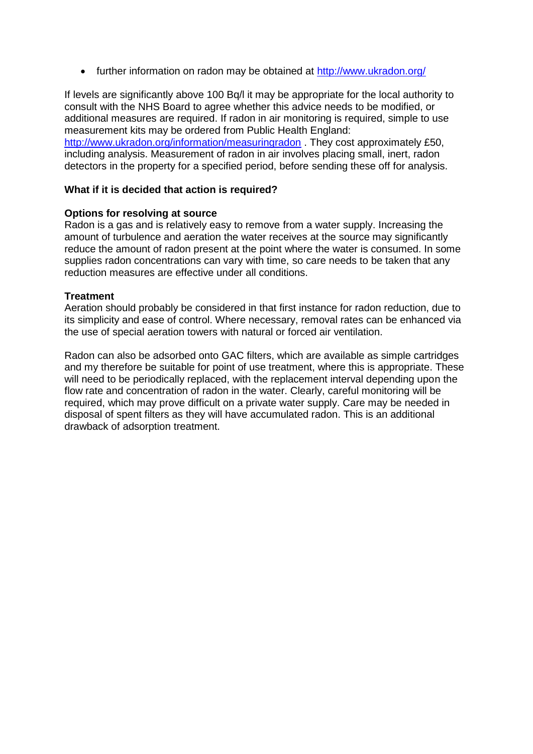• further information on radon may be obtained at<http://www.ukradon.org/>

If levels are significantly above 100 Bq/l it may be appropriate for the local authority to consult with the NHS Board to agree whether this advice needs to be modified, or additional measures are required. If radon in air monitoring is required, simple to use measurement kits may be ordered from Public Health England: <http://www.ukradon.org/information/measuringradon> . They cost approximately £50, including analysis. Measurement of radon in air involves placing small, inert, radon detectors in the property for a specified period, before sending these off for analysis.

#### **What if it is decided that action is required?**

#### **Options for resolving at source**

Radon is a gas and is relatively easy to remove from a water supply. Increasing the amount of turbulence and aeration the water receives at the source may significantly reduce the amount of radon present at the point where the water is consumed. In some supplies radon concentrations can vary with time, so care needs to be taken that any reduction measures are effective under all conditions.

#### **Treatment**

Aeration should probably be considered in that first instance for radon reduction, due to its simplicity and ease of control. Where necessary, removal rates can be enhanced via the use of special aeration towers with natural or forced air ventilation.

Radon can also be adsorbed onto GAC filters, which are available as simple cartridges and my therefore be suitable for point of use treatment, where this is appropriate. These will need to be periodically replaced, with the replacement interval depending upon the flow rate and concentration of radon in the water. Clearly, careful monitoring will be required, which may prove difficult on a private water supply. Care may be needed in disposal of spent filters as they will have accumulated radon. This is an additional drawback of adsorption treatment.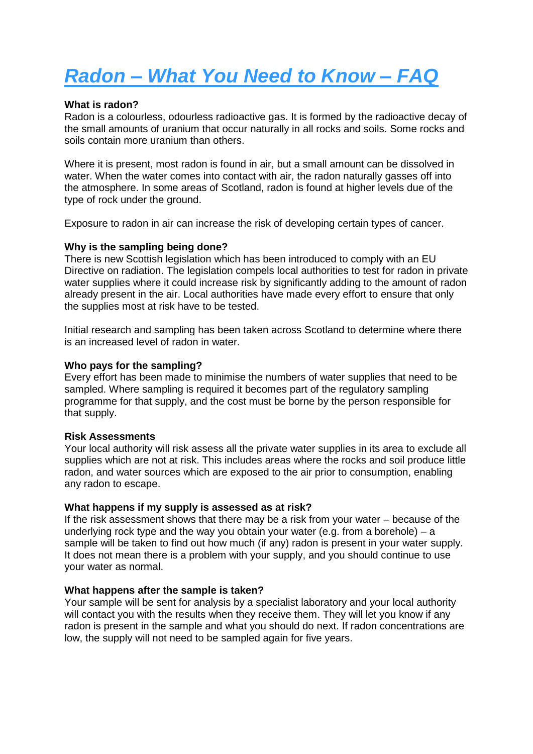# *Radon – What You Need to Know – FAQ*

#### **What is radon?**

Radon is a colourless, odourless radioactive gas. It is formed by the radioactive decay of the small amounts of uranium that occur naturally in all rocks and soils. Some rocks and soils contain more uranium than others.

Where it is present, most radon is found in air, but a small amount can be dissolved in water. When the water comes into contact with air, the radon naturally gasses off into the atmosphere. In some areas of Scotland, radon is found at higher levels due of the type of rock under the ground.

Exposure to radon in air can increase the risk of developing certain types of cancer.

#### **Why is the sampling being done?**

There is new Scottish legislation which has been introduced to comply with an EU Directive on radiation. The legislation compels local authorities to test for radon in private water supplies where it could increase risk by significantly adding to the amount of radon already present in the air. Local authorities have made every effort to ensure that only the supplies most at risk have to be tested.

Initial research and sampling has been taken across Scotland to determine where there is an increased level of radon in water.

#### **Who pays for the sampling?**

Every effort has been made to minimise the numbers of water supplies that need to be sampled. Where sampling is required it becomes part of the regulatory sampling programme for that supply, and the cost must be borne by the person responsible for that supply.

#### **Risk Assessments**

Your local authority will risk assess all the private water supplies in its area to exclude all supplies which are not at risk. This includes areas where the rocks and soil produce little radon, and water sources which are exposed to the air prior to consumption, enabling any radon to escape.

#### **What happens if my supply is assessed as at risk?**

If the risk assessment shows that there may be a risk from your water – because of the underlying rock type and the way you obtain your water (e.g. from a borehole) – a sample will be taken to find out how much (if any) radon is present in your water supply. It does not mean there is a problem with your supply, and you should continue to use your water as normal.

#### **What happens after the sample is taken?**

Your sample will be sent for analysis by a specialist laboratory and your local authority will contact you with the results when they receive them. They will let you know if any radon is present in the sample and what you should do next. If radon concentrations are low, the supply will not need to be sampled again for five years.